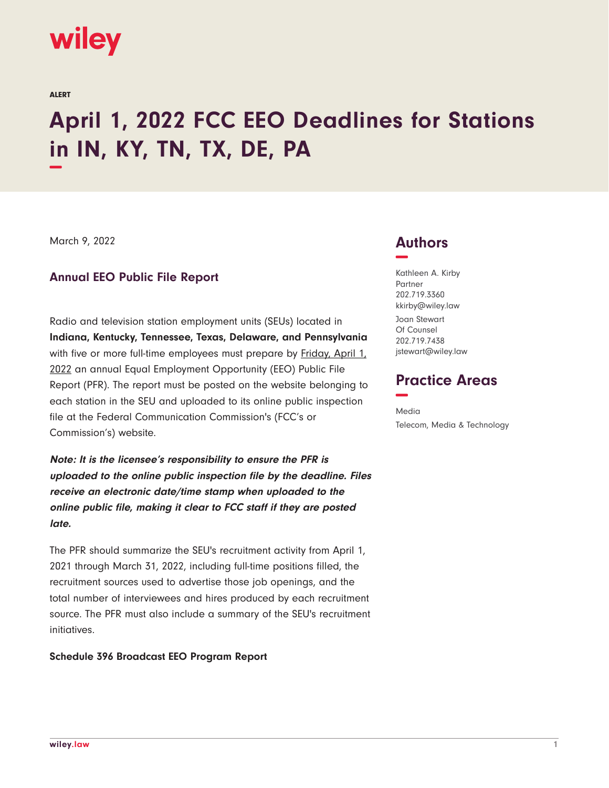

ALERT

# **April 1, 2022 FCC EEO Deadlines for Stations in IN, KY, TN, TX, DE, PA −**

March 9, 2022

### **Annual EEO Public File Report**

Radio and television station employment units (SEUs) located in **Indiana, Kentucky, Tennessee, Texas, Delaware, and Pennsylvania** with five or more full-time employees must prepare by **Friday, April 1**, 2022 an annual Equal Employment Opportunity (EEO) Public File Report (PFR). The report must be posted on the website belonging to each station in the SEU and uploaded to its online public inspection file at the Federal Communication Commission's (FCC's or Commission's) website.

**Note: It is the licensee's responsibility to ensure the PFR is uploaded to the online public inspection file by the deadline. Files receive an electronic date/time stamp when uploaded to the online public file, making it clear to FCC staff if they are posted late.**

The PFR should summarize the SEU's recruitment activity from April 1, 2021 through March 31, 2022, including full-time positions filled, the recruitment sources used to advertise those job openings, and the total number of interviewees and hires produced by each recruitment source. The PFR must also include a summary of the SEU's recruitment initiatives.

#### **Schedule 396 Broadcast EEO Program Report**

## **Authors −**

Kathleen A. Kirby Partner 202.719.3360 kkirby@wiley.law

Joan Stewart Of Counsel 202.719.7438 jstewart@wiley.law

## **Practice Areas −**

Media Telecom, Media & Technology